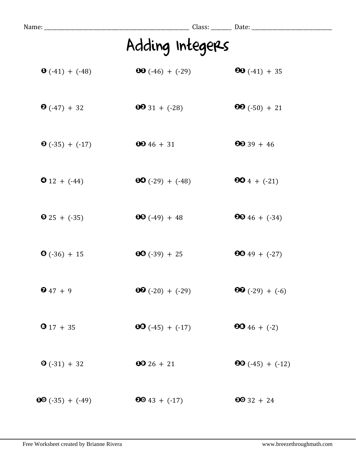| Name: __                |                           | Class: ________ Date: __________ |  |
|-------------------------|---------------------------|----------------------------------|--|
|                         | Adding Integers           |                                  |  |
| $\bullet$ (-41) + (-48) | <b>00</b> $(-46) + (-29)$ | <b>80</b> $(-41) + 35$           |  |
| $\bullet$ (-47) + 32    | $0031 + (-28)$            | $99(-50) + 21$                   |  |
| $\bullet$ (-35) + (-17) | $6646 + 31$               | $2039 + 46$                      |  |
| $\bullet$ 12 + (-44)    | $OO(-29) + (-48)$         | $604 + (-21)$                    |  |
| $\bullet$ 25 + (-35)    | $\textbf{00} (-49) + 48$  | $6046 + (-34)$                   |  |
| $\bullet$ (-36) + 15    | $00 (-39) + 25$           | $9049 + (-27)$                   |  |
| $647 + 9$               | $OQ(-20) + (-29)$         | $\bullet$ (-29) + (-6)           |  |
| $917 + 35$              | $00 (-45) + (-17)$        | <b>80</b> 46 + $(-2)$            |  |
| $\bullet$ (-31) + 32    | $6026 + 21$               | $\bullet$ (-45) + (-12)          |  |
| $60(-35) + (-49)$       | $6043 + (-17)$            | $6032 + 24$                      |  |